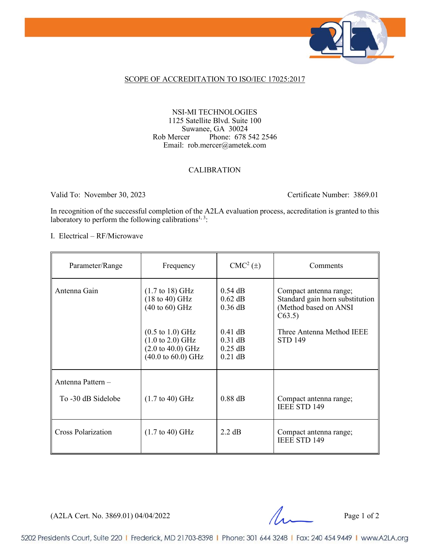

### SCOPE OF ACCREDITATION TO ISO/IEC 17025:2017

#### NSI-MI TECHNOLOGIES 1125 Satellite Blvd. Suite 100 Suwanee, GA 30024 Rob Mercer Phone: 678 542 2546 Email: rob.mercer@ametek.com

### CALIBRATION

Valid To: November 30, 2023 Certificate Number: 3869.01

In recognition of the successful completion of the A2LA evaluation process, accreditation is granted to this laboratory to perform the following calibrations<sup>1, 3</sup>:

I. Electrical – RF/Microwave

| Parameter/Range                         | Frequency                                                                                                                                                   | $CMC2(\pm)$                                      | Comments                                                                                     |
|-----------------------------------------|-------------------------------------------------------------------------------------------------------------------------------------------------------------|--------------------------------------------------|----------------------------------------------------------------------------------------------|
| Antenna Gain                            | $(1.7 \text{ to } 18) \text{ GHz}$<br>$(18 \text{ to } 40) \text{ GHz}$<br>$(40 \text{ to } 60)$ GHz                                                        | $0.54$ dB<br>$0.62$ dB<br>$0.36$ dB              | Compact antenna range;<br>Standard gain horn substitution<br>(Method based on ANSI<br>C63.5) |
|                                         | $(0.5 \text{ to } 1.0) \text{ GHz}$<br>$(1.0 \text{ to } 2.0) \text{ GHz}$<br>$(2.0 \text{ to } 40.0) \text{ GHz}$<br>$(40.0 \text{ to } 60.0) \text{ GHz}$ | $0.41$ dB<br>$0.31$ dB<br>$0.25$ dB<br>$0.21$ dB | Three Antenna Method IEEE<br><b>STD 149</b>                                                  |
| Antenna Pattern -<br>To -30 dB Sidelobe | $(1.7 \text{ to } 40) \text{ GHz}$                                                                                                                          | $0.88$ dB                                        | Compact antenna range;<br><b>IEEE STD 149</b>                                                |
| <b>Cross Polarization</b>               | $(1.7 \text{ to } 40) \text{ GHz}$                                                                                                                          | $2.2 \text{ dB}$                                 | Compact antenna range;<br><b>IEEE STD 149</b>                                                |

 $(A2LA$  Cert. No. 3869.01) 04/04/2022 Page 1 of 2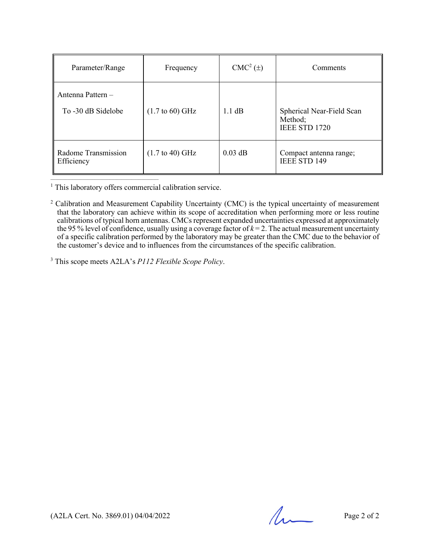| Parameter/Range                         | Frequency                          | $CMC2(\pm)$      | Comments                                              |
|-----------------------------------------|------------------------------------|------------------|-------------------------------------------------------|
| Antenna Pattern -<br>To -30 dB Sidelobe | $(1.7 \text{ to } 60) \text{ GHz}$ | $1.1 \text{ dB}$ | Spherical Near-Field Scan<br>Method;<br>IEEE STD 1720 |
| Radome Transmission<br>Efficiency       | $(1.7 \text{ to } 40) \text{ GHz}$ | $0.03$ dB        | Compact antenna range;<br><b>IEEE STD 149</b>         |

<sup>1</sup> This laboratory offers commercial calibration service.

<sup>3</sup> This scope meets A2LA's *P112 Flexible Scope Policy*.

<sup>&</sup>lt;sup>2</sup> Calibration and Measurement Capability Uncertainty (CMC) is the typical uncertainty of measurement that the laboratory can achieve within its scope of accreditation when performing more or less routine calibrations of typical horn antennas. CMCs represent expanded uncertainties expressed at approximately the 95 % level of confidence, usually using a coverage factor of  $k = 2$ . The actual measurement uncertainty of a specific calibration performed by the laboratory may be greater than the CMC due to the behavior of the customer's device and to influences from the circumstances of the specific calibration.